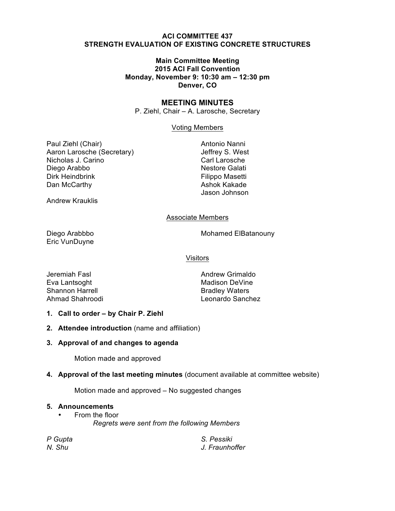#### **ACI COMMITTEE 437 STRENGTH EVALUATION OF EXISTING CONCRETE STRUCTURES**

### **Main Committee Meeting 2015 ACI Fall Convention Monday, November 9: 10:30 am – 12:30 pm Denver, CO**

### **MEETING MINUTES**

P. Ziehl, Chair – A. Larosche, Secretary

Voting Members

Paul Ziehl (Chair) Aaron Larosche (Secretary) Nicholas J. Carino Diego Arabbo Dirk Heindbrink Dan McCarthy

Andrew Krauklis

Antonio Nanni Jeffrey S. West Carl Larosche Nestore Galati Filippo Masetti Ashok Kakade Jason Johnson

### Associate Members

Eric VunDuyne

Diego Arabbbo **Mohamed ElBatanouny** 

Visitors

Eva Lantsoght Madison DeVine Shannon Harrell Bradley Waters

Jeremiah Fasl **Andrew Grimaldo** Ahmad Shahroodi Leonardo Sanchez

- **1. Call to order – by Chair P. Ziehl**
- **2. Attendee introduction** (name and affiliation)

# **3. Approval of and changes to agenda**

Motion made and approved

# **4. Approval of the last meeting minutes** (document available at committee website)

Motion made and approved – No suggested changes

#### **5. Announcements**

• From the floor *Regrets were sent from the following Members*

| P Gupta | S. Pessiki     |
|---------|----------------|
| N. Shu  | J. Fraunhoffer |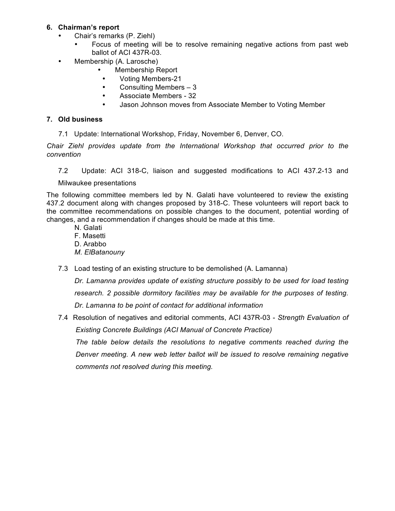# **6. Chairman's report**

- Chair's remarks (P. Ziehl)
	- Focus of meeting will be to resolve remaining negative actions from past web ballot of ACI 437R-03.
- Membership (A. Larosche)
	- Membership Report
	- Voting Members-21
	- Consulting Members 3
	- Associate Members 32
	- Jason Johnson moves from Associate Member to Voting Member

# **7. Old business**

7.1 Update: International Workshop, Friday, November 6, Denver, CO.

*Chair Ziehl provides update from the International Workshop that occurred prior to the convention*

7.2 Update: ACI 318-C, liaison and suggested modifications to ACI 437.2-13 and

Milwaukee presentations

The following committee members led by N. Galati have volunteered to review the existing 437.2 document along with changes proposed by 318-C. These volunteers will report back to the committee recommendations on possible changes to the document, potential wording of changes, and a recommendation if changes should be made at this time.

- N. Galati F. Masetti D. Arabbo *M. ElBatanouny*
- 7.3 Load testing of an existing structure to be demolished (A. Lamanna)

*Dr. Lamanna provides update of existing structure possibly to be used for load testing research. 2 possible dormitory facilities may be available for the purposes of testing. Dr. Lamanna to be point of contact for additional information*

7.4 Resolution of negatives and editorial comments, ACI 437R-03 - *Strength Evaluation of Existing Concrete Buildings (ACI Manual of Concrete Practice)*

*The table below details the resolutions to negative comments reached during the Denver meeting. A new web letter ballot will be issued to resolve remaining negative comments not resolved during this meeting.*